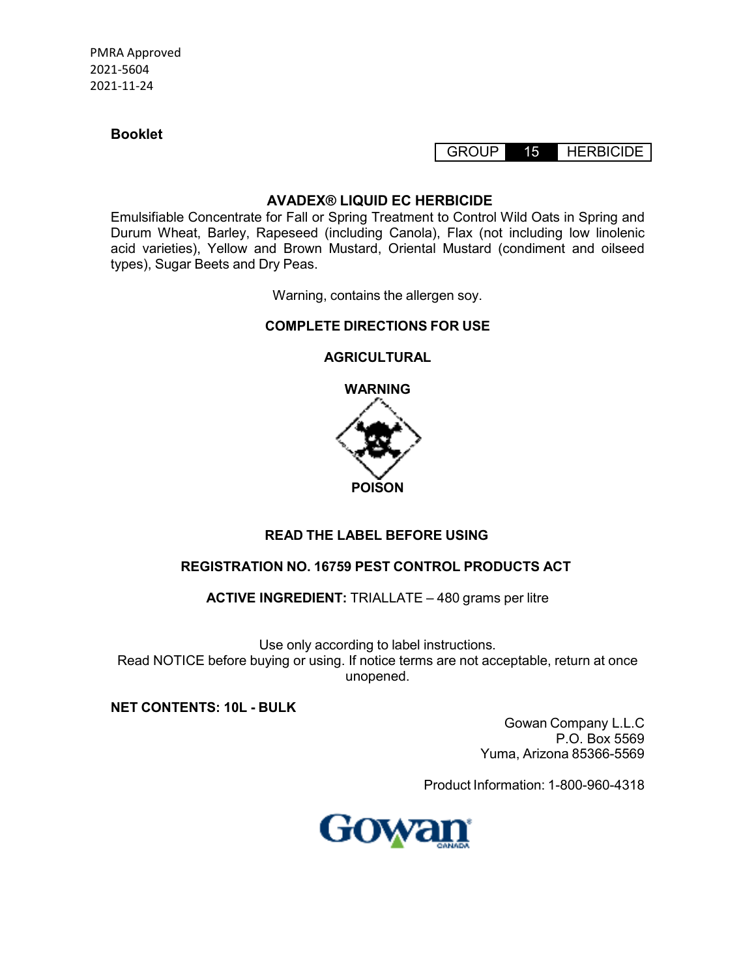**Booklet**

GROUP 15 HERBICIDE

## **AVADEX® LIQUID EC HERBICIDE**

Emulsifiable Concentrate for Fall or Spring Treatment to Control Wild Oats in Spring and Durum Wheat, Barley, Rapeseed (including Canola), Flax (not including low linolenic acid varieties), Yellow and Brown Mustard, Oriental Mustard (condiment and oilseed types), Sugar Beets and Dry Peas.

Warning, contains the allergen soy.

# **COMPLETE DIRECTIONS FOR USE**

## **AGRICULTURAL**



# **READ THE LABEL BEFORE USING**

# **REGISTRATION NO. 16759 PEST CONTROL PRODUCTS ACT**

**ACTIVE INGREDIENT:** TRIALLATE – 480 grams per litre

Use only according to label instructions. Read NOTICE before buying or using. If notice terms are not acceptable, return at once unopened.

**NET CONTENTS: 10L - BULK**

Gowan Company L.L.C P.O. Box 5569 Yuma, Arizona 85366-5569

Product Information: 1-800-960-4318

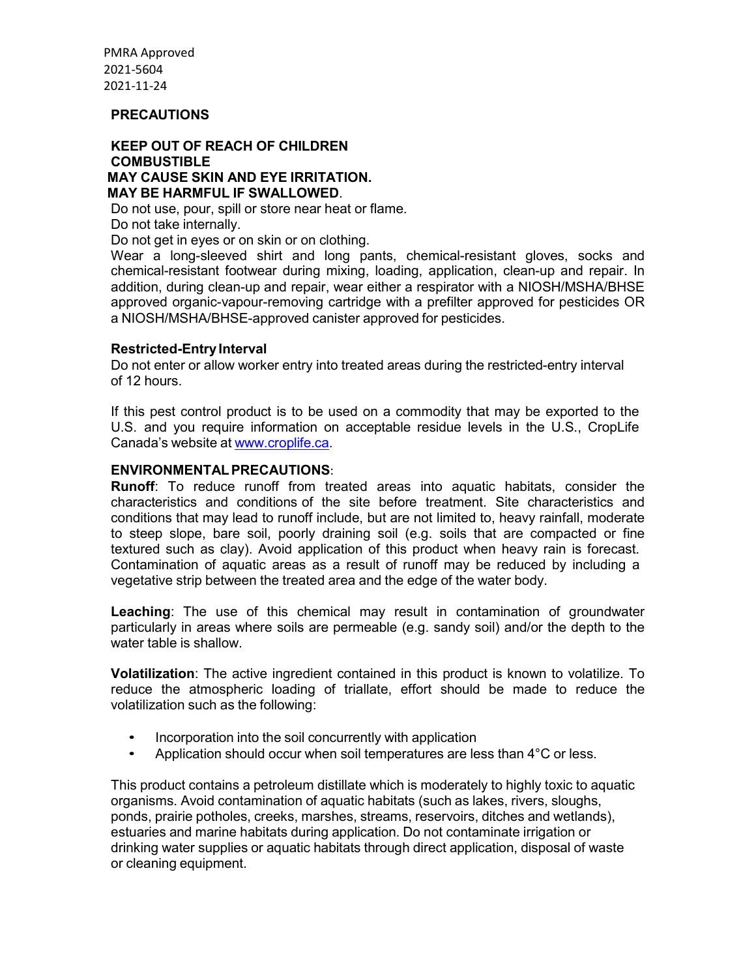#### **PRECAUTIONS**

#### **KEEP OUT OF REACH OF CHILDREN COMBUSTIBLE MAY CAUSE SKIN AND EYE IRRITATION. MAY BE HARMFUL IF SWALLOWED**.

Do not use, pour, spill or store near heat or flame.

Do not take internally.

Do not get in eyes or on skin or on clothing.

Wear a long-sleeved shirt and long pants, chemical-resistant gloves, socks and chemical-resistant footwear during mixing, loading, application, clean-up and repair. In addition, during clean-up and repair, wear either a respirator with a NIOSH/MSHA/BHSE approved organic-vapour-removing cartridge with a prefilter approved for pesticides OR a NIOSH/MSHA/BHSE-approved canister approved for pesticides.

#### **Restricted-Entry Interval**

Do not enter or allow worker entry into treated areas during the restricted-entry interval of 12 hours.

If this pest control product is to be used on a commodity that may be exported to the U.S. and you require information on acceptable residue levels in the U.S., CropLife Canada's website at www.croplife.ca.

#### **ENVIRONMENTAL PRECAUTIONS**:

**Runoff**: To reduce runoff from treated areas into aquatic habitats, consider the characteristics and conditions of the site before treatment. Site characteristics and conditions that may lead to runoff include, but are not limited to, heavy rainfall, moderate to steep slope, bare soil, poorly draining soil (e.g. soils that are compacted or fine textured such as clay). Avoid application of this product when heavy rain is forecast. Contamination of aquatic areas as a result of runoff may be reduced by including a vegetative strip between the treated area and the edge of the water body.

**Leaching**: The use of this chemical may result in contamination of groundwater particularly in areas where soils are permeable (e.g. sandy soil) and/or the depth to the water table is shallow.

**Volatilization**: The active ingredient contained in this product is known to volatilize. To reduce the atmospheric loading of triallate, effort should be made to reduce the volatilization such as the following:

- Incorporation into the soil concurrently with application
- Application should occur when soil temperatures are less than 4°C or less.

This product contains a petroleum distillate which is moderately to highly toxic to aquatic organisms. Avoid contamination of aquatic habitats (such as lakes, rivers, sloughs, ponds, prairie potholes, creeks, marshes, streams, reservoirs, ditches and wetlands), estuaries and marine habitats during application. Do not contaminate irrigation or drinking water supplies or aquatic habitats through direct application, disposal of waste or cleaning equipment.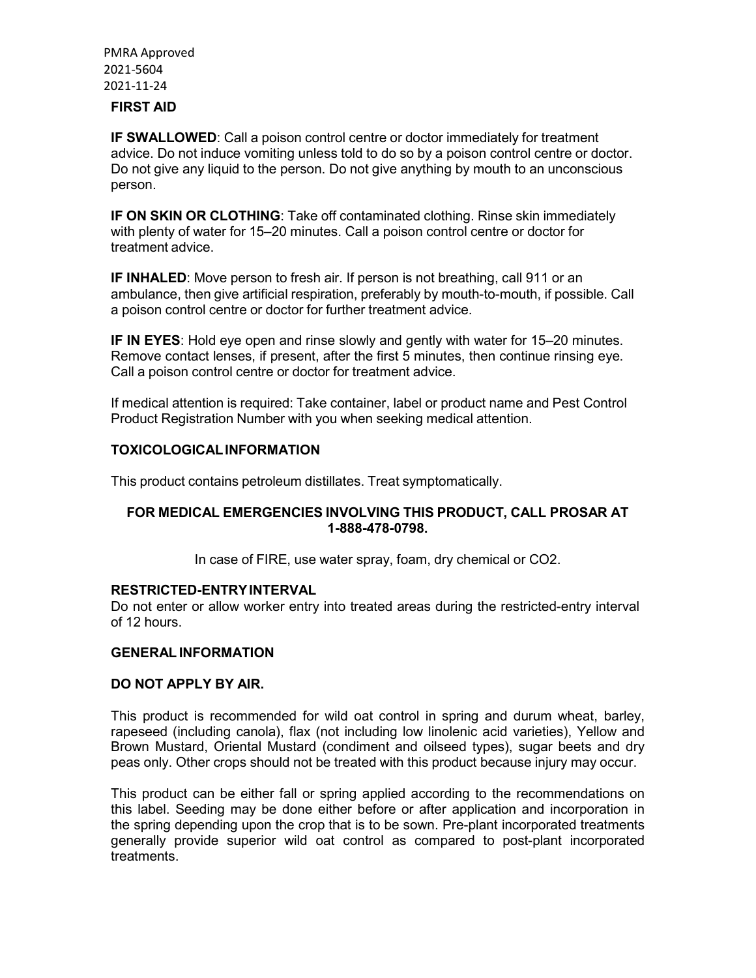## **FIRST AID**

**IF SWALLOWED**: Call a poison control centre or doctor immediately for treatment advice. Do not induce vomiting unless told to do so by a poison control centre or doctor. Do not give any liquid to the person. Do not give anything by mouth to an unconscious person.

**IF ON SKIN OR CLOTHING**: Take off contaminated clothing. Rinse skin immediately with plenty of water for 15–20 minutes. Call a poison control centre or doctor for treatment advice.

**IF INHALED:** Move person to fresh air. If person is not breathing, call 911 or an ambulance, then give artificial respiration, preferably by mouth-to-mouth, if possible. Call a poison control centre or doctor for further treatment advice.

**IF IN EYES**: Hold eye open and rinse slowly and gently with water for 15–20 minutes. Remove contact lenses, if present, after the first 5 minutes, then continue rinsing eye. Call a poison control centre or doctor for treatment advice.

If medical attention is required: Take container, label or product name and Pest Control Product Registration Number with you when seeking medical attention.

#### **TOXICOLOGICAL INFORMATION**

This product contains petroleum distillates. Treat symptomatically.

## **FOR MEDICAL EMERGENCIES INVOLVING THIS PRODUCT, CALL PROSAR AT 1-888-478-0798.**

In case of FIRE, use water spray, foam, dry chemical or CO2.

#### **RESTRICTED-ENTRY INTERVAL**

Do not enter or allow worker entry into treated areas during the restricted-entry interval of 12 hours.

#### **GENERAL INFORMATION**

#### **DO NOT APPLY BY AIR.**

This product is recommended for wild oat control in spring and durum wheat, barley, rapeseed (including canola), flax (not including low linolenic acid varieties), Yellow and Brown Mustard, Oriental Mustard (condiment and oilseed types), sugar beets and dry peas only. Other crops should not be treated with this product because injury may occur.

This product can be either fall or spring applied according to the recommendations on this label. Seeding may be done either before or after application and incorporation in the spring depending upon the crop that is to be sown. Pre-plant incorporated treatments generally provide superior wild oat control as compared to post-plant incorporated treatments.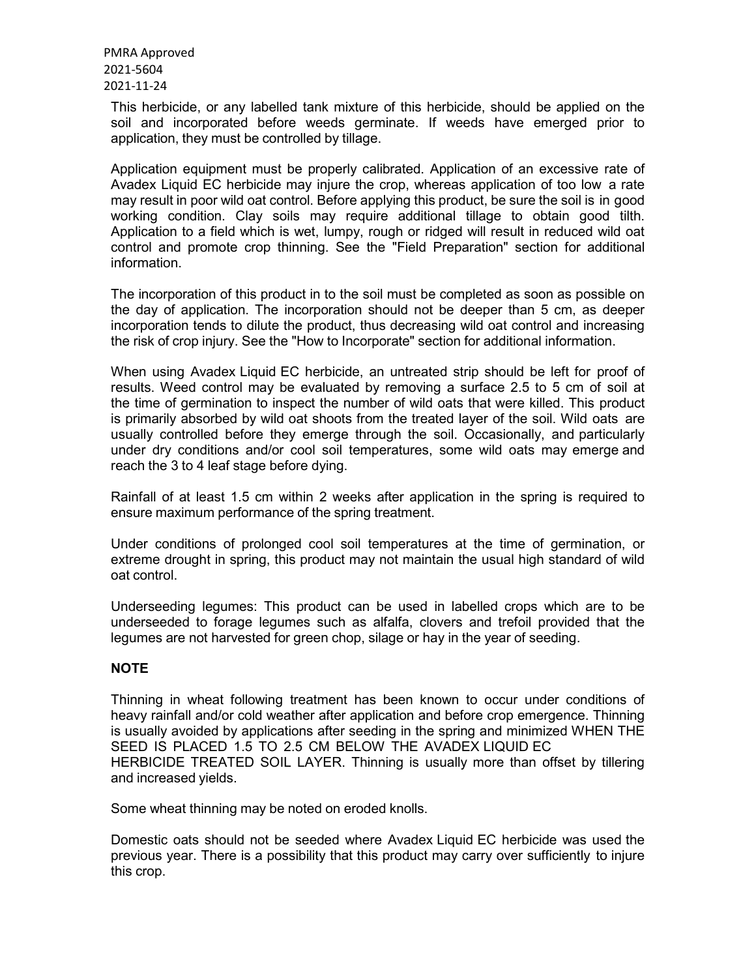This herbicide, or any labelled tank mixture of this herbicide, should be applied on the soil and incorporated before weeds germinate. If weeds have emerged prior to application, they must be controlled by tillage.

Application equipment must be properly calibrated. Application of an excessive rate of Avadex Liquid EC herbicide may injure the crop, whereas application of too low a rate may result in poor wild oat control. Before applying this product, be sure the soil is in good working condition. Clay soils may require additional tillage to obtain good tilth. Application to a field which is wet, lumpy, rough or ridged will result in reduced wild oat control and promote crop thinning. See the "Field Preparation" section for additional information.

The incorporation of this product in to the soil must be completed as soon as possible on the day of application. The incorporation should not be deeper than 5 cm, as deeper incorporation tends to dilute the product, thus decreasing wild oat control and increasing the risk of crop injury. See the "How to Incorporate" section for additional information.

When using Avadex Liquid EC herbicide, an untreated strip should be left for proof of results. Weed control may be evaluated by removing a surface 2.5 to 5 cm of soil at the time of germination to inspect the number of wild oats that were killed. This product is primarily absorbed by wild oat shoots from the treated layer of the soil. Wild oats are usually controlled before they emerge through the soil. Occasionally, and particularly under dry conditions and/or cool soil temperatures, some wild oats may emerge and reach the 3 to 4 leaf stage before dying.

Rainfall of at least 1.5 cm within 2 weeks after application in the spring is required to ensure maximum performance of the spring treatment.

Under conditions of prolonged cool soil temperatures at the time of germination, or extreme drought in spring, this product may not maintain the usual high standard of wild oat control.

Underseeding legumes: This product can be used in labelled crops which are to be underseeded to forage legumes such as alfalfa, clovers and trefoil provided that the legumes are not harvested for green chop, silage or hay in the year of seeding.

## **NOTE**

Thinning in wheat following treatment has been known to occur under conditions of heavy rainfall and/or cold weather after application and before crop emergence. Thinning is usually avoided by applications after seeding in the spring and minimized WHEN THE SEED IS PLACED 1.5 TO 2.5 CM BELOW THE AVADEX LIQUID EC HERBICIDE TREATED SOIL LAYER. Thinning is usually more than offset by tillering and increased yields.

Some wheat thinning may be noted on eroded knolls.

Domestic oats should not be seeded where Avadex Liquid EC herbicide was used the previous year. There is a possibility that this product may carry over sufficiently to injure this crop.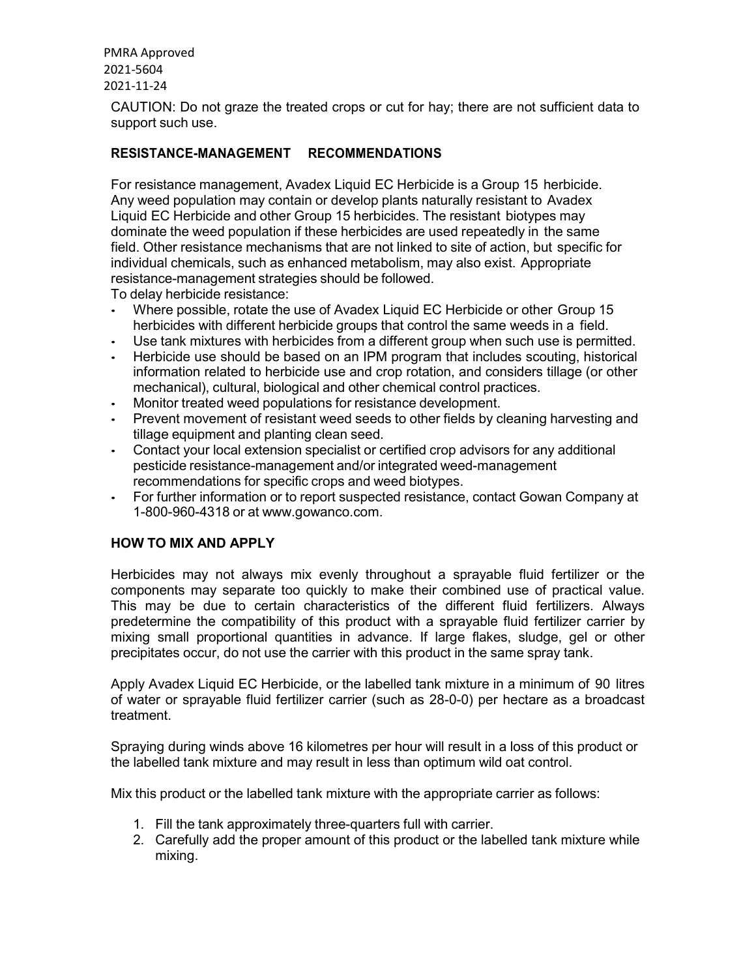CAUTION: Do not graze the treated crops or cut for hay; there are not sufficient data to support such use.

## **RESISTANCE-MANAGEMENT RECOMMENDATIONS**

For resistance management, Avadex Liquid EC Herbicide is a Group 15 herbicide. Any weed population may contain or develop plants naturally resistant to Avadex Liquid EC Herbicide and other Group 15 herbicides. The resistant biotypes may dominate the weed population if these herbicides are used repeatedly in the same field. Other resistance mechanisms that are not linked to site of action, but specific for individual chemicals, such as enhanced metabolism, may also exist. Appropriate resistance-management strategies should be followed.

To delay herbicide resistance:

- Where possible, rotate the use of Avadex Liquid EC Herbicide or other Group 15 herbicides with different herbicide groups that control the same weeds in a field.
- Use tank mixtures with herbicides from a different group when such use is permitted.
- Herbicide use should be based on an IPM program that includes scouting, historical information related to herbicide use and crop rotation, and considers tillage (or other mechanical), cultural, biological and other chemical control practices.
- Monitor treated weed populations for resistance development.
- Prevent movement of resistant weed seeds to other fields by cleaning harvesting and tillage equipment and planting clean seed.
- Contact your local extension specialist or certified crop advisors for any additional pesticide resistance-management and/or integrated weed-management recommendations for specific crops and weed biotypes.
- For further information or to report suspected resistance, contact Gowan Company at 1-800-960-4318 or at www.gowanco.com.

## **HOW TO MIX AND APPLY**

Herbicides may not always mix evenly throughout a sprayable fluid fertilizer or the components may separate too quickly to make their combined use of practical value. This may be due to certain characteristics of the different fluid fertilizers. Always predetermine the compatibility of this product with a sprayable fluid fertilizer carrier by mixing small proportional quantities in advance. If large flakes, sludge, gel or other precipitates occur, do not use the carrier with this product in the same spray tank.

Apply Avadex Liquid EC Herbicide, or the labelled tank mixture in a minimum of 90 litres of water or sprayable fluid fertilizer carrier (such as 28-0-0) per hectare as a broadcast treatment.

Spraying during winds above 16 kilometres per hour will result in a loss of this product or the labelled tank mixture and may result in less than optimum wild oat control.

Mix this product or the labelled tank mixture with the appropriate carrier as follows:

- 1. Fill the tank approximately three-quarters full with carrier.
- 2. Carefully add the proper amount of this product or the labelled tank mixture while mixing.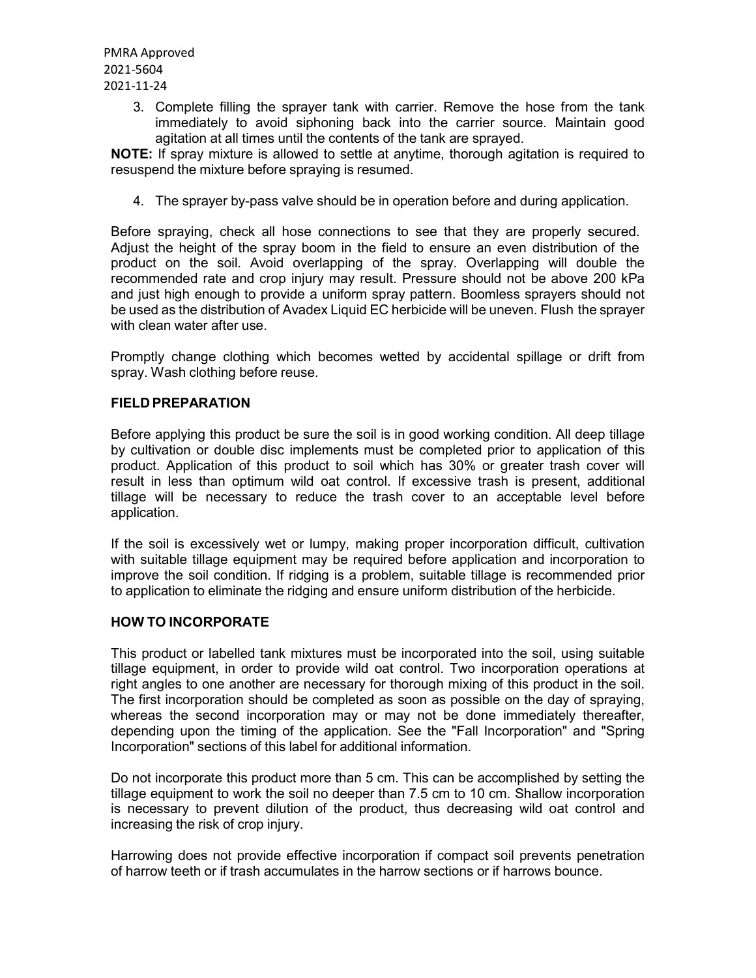> 3. Complete filling the sprayer tank with carrier. Remove the hose from the tank immediately to avoid siphoning back into the carrier source. Maintain good agitation at all times until the contents of the tank are sprayed.

**NOTE:** If spray mixture is allowed to settle at anytime, thorough agitation is required to resuspend the mixture before spraying is resumed.

4. The sprayer by-pass valve should be in operation before and during application.

Before spraying, check all hose connections to see that they are properly secured. Adjust the height of the spray boom in the field to ensure an even distribution of the product on the soil. Avoid overlapping of the spray. Overlapping will double the recommended rate and crop injury may result. Pressure should not be above 200 kPa and just high enough to provide a uniform spray pattern. Boomless sprayers should not be used as the distribution of Avadex Liquid EC herbicide will be uneven. Flush the sprayer with clean water after use.

Promptly change clothing which becomes wetted by accidental spillage or drift from spray. Wash clothing before reuse.

## **FIELD PREPARATION**

Before applying this product be sure the soil is in good working condition. All deep tillage by cultivation or double disc implements must be completed prior to application of this product. Application of this product to soil which has 30% or greater trash cover will result in less than optimum wild oat control. If excessive trash is present, additional tillage will be necessary to reduce the trash cover to an acceptable level before application.

If the soil is excessively wet or lumpy, making proper incorporation difficult, cultivation with suitable tillage equipment may be required before application and incorporation to improve the soil condition. If ridging is a problem, suitable tillage is recommended prior to application to eliminate the ridging and ensure uniform distribution of the herbicide.

#### **HOW TO INCORPORATE**

This product or labelled tank mixtures must be incorporated into the soil, using suitable tillage equipment, in order to provide wild oat control. Two incorporation operations at right angles to one another are necessary for thorough mixing of this product in the soil. The first incorporation should be completed as soon as possible on the day of spraying, whereas the second incorporation may or may not be done immediately thereafter, depending upon the timing of the application. See the "Fall Incorporation" and "Spring Incorporation" sections of this label for additional information.

Do not incorporate this product more than 5 cm. This can be accomplished by setting the tillage equipment to work the soil no deeper than 7.5 cm to 10 cm. Shallow incorporation is necessary to prevent dilution of the product, thus decreasing wild oat control and increasing the risk of crop injury.

Harrowing does not provide effective incorporation if compact soil prevents penetration of harrow teeth or if trash accumulates in the harrow sections or if harrows bounce.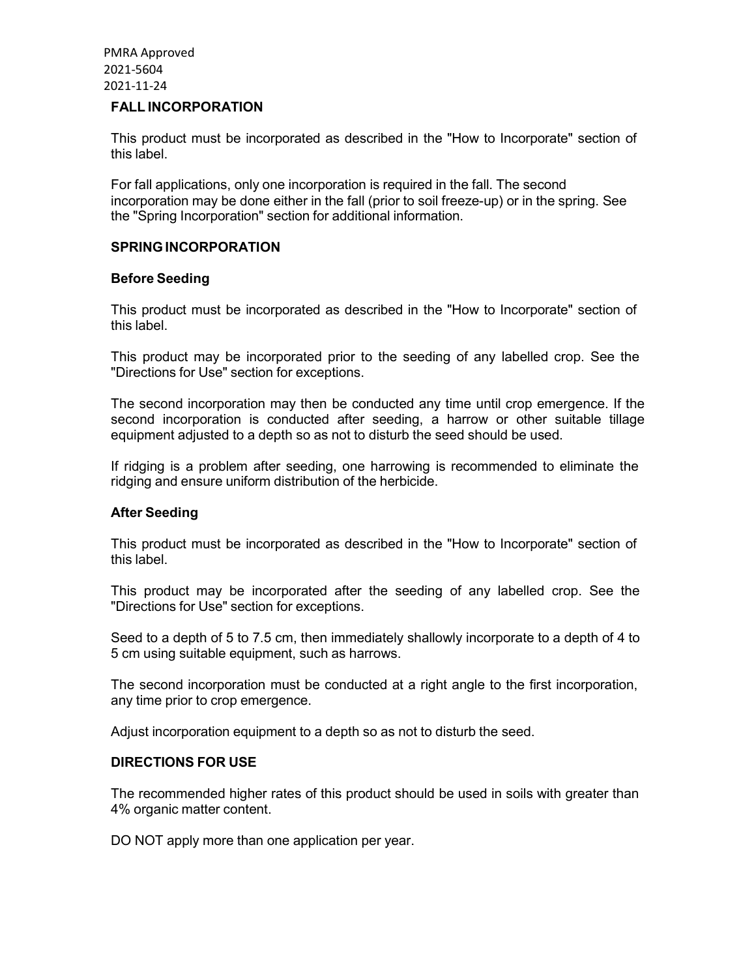#### **FALL INCORPORATION**

This product must be incorporated as described in the "How to Incorporate" section of this label.

For fall applications, only one incorporation is required in the fall. The second incorporation may be done either in the fall (prior to soil freeze-up) or in the spring. See the "Spring Incorporation" section for additional information.

#### **SPRING INCORPORATION**

#### **Before Seeding**

This product must be incorporated as described in the "How to Incorporate" section of this label.

This product may be incorporated prior to the seeding of any labelled crop. See the "Directions for Use" section for exceptions.

The second incorporation may then be conducted any time until crop emergence. If the second incorporation is conducted after seeding, a harrow or other suitable tillage equipment adjusted to a depth so as not to disturb the seed should be used.

If ridging is a problem after seeding, one harrowing is recommended to eliminate the ridging and ensure uniform distribution of the herbicide.

#### **After Seeding**

This product must be incorporated as described in the "How to Incorporate" section of this label.

This product may be incorporated after the seeding of any labelled crop. See the "Directions for Use" section for exceptions.

Seed to a depth of 5 to 7.5 cm, then immediately shallowly incorporate to a depth of 4 to 5 cm using suitable equipment, such as harrows.

The second incorporation must be conducted at a right angle to the first incorporation, any time prior to crop emergence.

Adjust incorporation equipment to a depth so as not to disturb the seed.

## **DIRECTIONS FOR USE**

The recommended higher rates of this product should be used in soils with greater than 4% organic matter content.

DO NOT apply more than one application per year.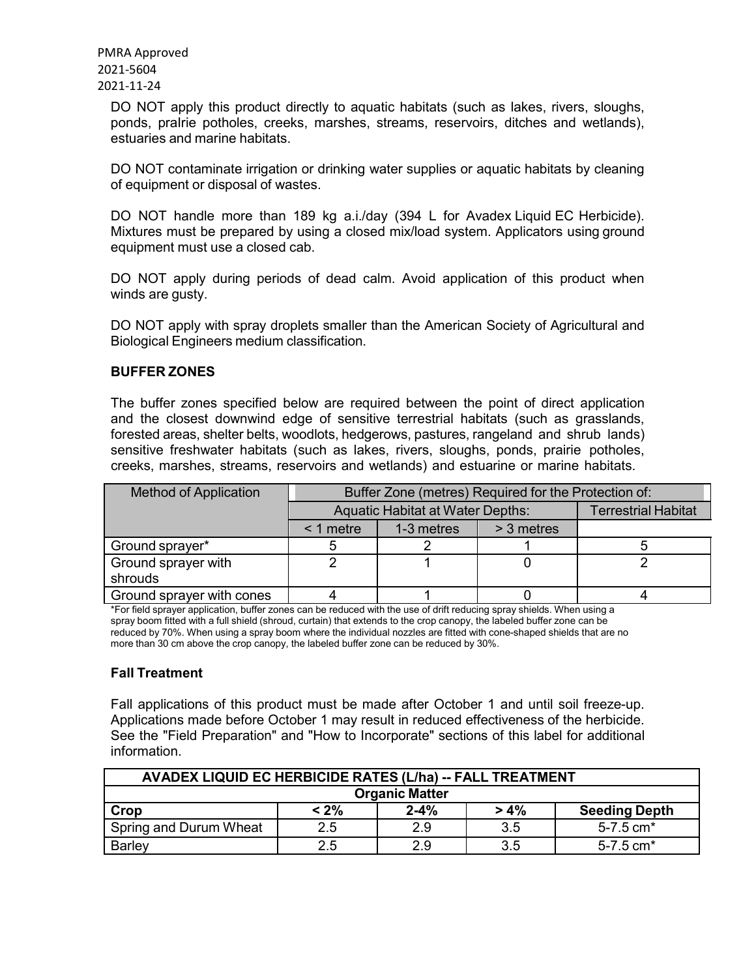> DO NOT apply this product directly to aquatic habitats (such as lakes, rivers, sloughs, ponds, praIrie potholes, creeks, marshes, streams, reservoirs, ditches and wetlands), estuaries and marine habitats.

> DO NOT contaminate irrigation or drinking water supplies or aquatic habitats by cleaning of equipment or disposal of wastes.

> DO NOT handle more than 189 kg a.i./day (394 L for Avadex Liquid EC Herbicide). Mixtures must be prepared by using a closed mix/load system. Applicators using ground equipment must use a closed cab.

> DO NOT apply during periods of dead calm. Avoid application of this product when winds are gusty.

> DO NOT apply with spray droplets smaller than the American Society of Agricultural and Biological Engineers medium classification.

## **BUFFER ZONES**

The buffer zones specified below are required between the point of direct application and the closest downwind edge of sensitive terrestrial habitats (such as grasslands, forested areas, shelter belts, woodlots, hedgerows, pastures, rangeland and shrub lands) sensitive freshwater habitats (such as lakes, rivers, sloughs, ponds, prairie potholes, creeks, marshes, streams, reservoirs and wetlands) and estuarine or marine habitats.

| <b>Method of Application</b> | Buffer Zone (metres) Required for the Protection of: |                            |  |  |
|------------------------------|------------------------------------------------------|----------------------------|--|--|
|                              | <b>Aquatic Habitat at Water Depths:</b>              | <b>Terrestrial Habitat</b> |  |  |
|                              | $\leq$ 1 metre                                       |                            |  |  |
| Ground sprayer*              |                                                      |                            |  |  |
| Ground sprayer with          |                                                      |                            |  |  |
| shrouds                      |                                                      |                            |  |  |
| Ground sprayer with cones    |                                                      |                            |  |  |

\*For field sprayer application, buffer zones can be reduced with the use of drift reducing spray shields. When using a spray boom fitted with a full shield (shroud, curtain) that extends to the crop canopy, the labeled buffer zone can be reduced by 70%. When using a spray boom where the individual nozzles are fitted with cone-shaped shields that are no more than 30 cm above the crop canopy, the labeled buffer zone can be reduced by 30%.

#### **Fall Treatment**

Fall applications of this product must be made after October 1 and until soil freeze-up. Applications made before October 1 may result in reduced effectiveness of the herbicide. See the "Field Preparation" and "How to Incorporate" sections of this label for additional information.

| AVADEX LIQUID EC HERBICIDE RATES (L/ha) -- FALL TREATMENT |         |          |         |                           |
|-----------------------------------------------------------|---------|----------|---------|---------------------------|
| <b>Organic Matter</b>                                     |         |          |         |                           |
| Crop                                                      | $< 2\%$ | $2 - 4%$ | $> 4\%$ | <b>Seeding Depth</b>      |
| Spring and Durum Wheat                                    | 2.5     | 2.9      | 3.5     | $5 - 7.5$ cm <sup>*</sup> |
| <b>Barley</b>                                             | $2.5\,$ | 2.9      | 3.5     | $5 - 7.5$ cm <sup>*</sup> |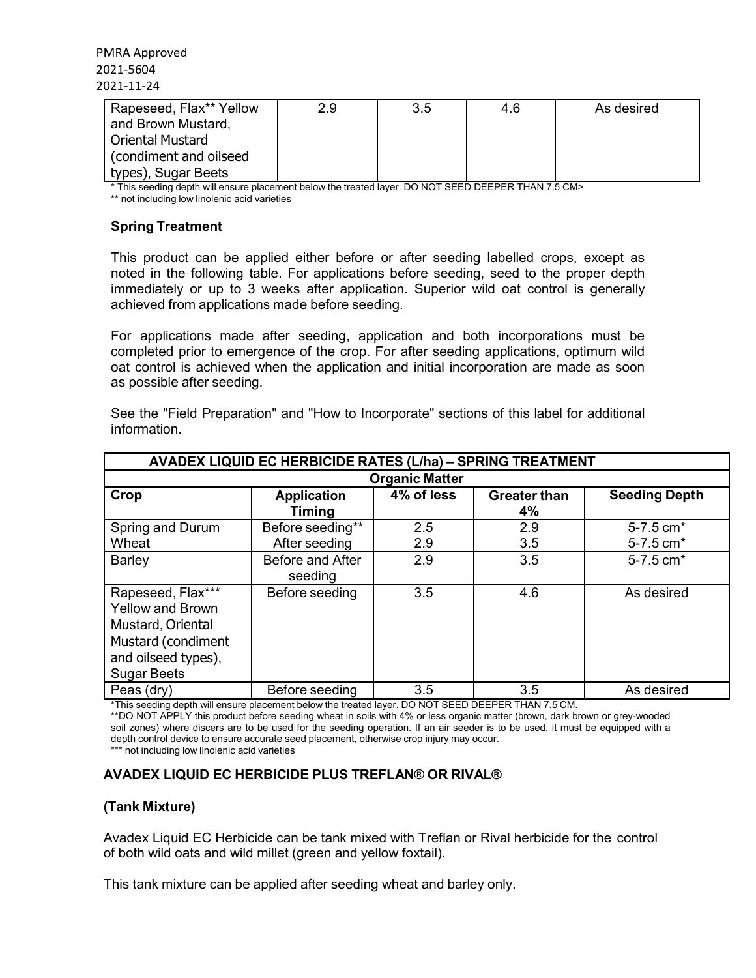| Rapeseed, Flax** Yellow | 2.9 | 3.5 | 4.6 | As desired |
|-------------------------|-----|-----|-----|------------|
| and Brown Mustard,      |     |     |     |            |
| l Oriental Mustard      |     |     |     |            |
| Condiment and oilseed   |     |     |     |            |
| types), Sugar Beets     |     |     |     |            |

\* This seeding depth will ensure placement below the treated layer. DO NOT SEED DEEPER THAN 7.5 CM>

\*\* not including low linolenic acid varieties

## **Spring Treatment**

This product can be applied either before or after seeding labelled crops, except as noted in the following table. For applications before seeding, seed to the proper depth immediately or up to 3 weeks after application. Superior wild oat control is generally achieved from applications made before seeding.

For applications made after seeding, application and both incorporations must be completed prior to emergence of the crop. For after seeding applications, optimum wild oat control is achieved when the application and initial incorporation are made as soon as possible after seeding.

| See the "Field Preparation" and "How to Incorporate" sections of this label for additional |  |  |  |  |
|--------------------------------------------------------------------------------------------|--|--|--|--|
| information.                                                                               |  |  |  |  |

| <b>AVADEX LIQUID EC HERBICIDE RATES (L/ha) - SPRING TREATMENT</b>                                                                    |                                     |                       |                           |                           |
|--------------------------------------------------------------------------------------------------------------------------------------|-------------------------------------|-----------------------|---------------------------|---------------------------|
|                                                                                                                                      |                                     | <b>Organic Matter</b> |                           |                           |
| Crop                                                                                                                                 | <b>Application</b><br><b>Timing</b> | 4% of less            | <b>Greater than</b><br>4% | <b>Seeding Depth</b>      |
| Spring and Durum<br>Wheat                                                                                                            | Before seeding**<br>After seeding   | 2.5<br>2.9            | 2.9<br>3.5                | 5-7.5 cm*<br>5-7.5 cm*    |
| <b>Barley</b>                                                                                                                        | Before and After<br>seeding         | 2.9                   | 3.5                       | $5 - 7.5$ cm <sup>*</sup> |
| Rapeseed, Flax***<br><b>Yellow and Brown</b><br>Mustard, Oriental<br>Mustard (condiment<br>and oilseed types),<br><b>Sugar Beets</b> | Before seeding                      | 3.5                   | 4.6                       | As desired                |
| Peas (dry)                                                                                                                           | Before seeding                      | 3.5                   | 3.5                       | As desired                |

\*This seeding depth will ensure placement below the treated layer. DO NOT SEED DEEPER THAN 7.5 CM.

\*\*DO NOT APPLY this product before seeding wheat in soils with 4% or less organic matter (brown, dark brown or grey-wooded soil zones) where discers are to be used for the seeding operation. If an air seeder is to be used, it must be equipped with a depth control device to ensure accurate seed placement, otherwise crop injury may occur.

\*\*\* not including low linolenic acid varieties

## **AVADEX LIQUID EC HERBICIDE PLUS TREFLAN**® **OR RIVAL®**

#### **(Tank Mixture)**

Avadex Liquid EC Herbicide can be tank mixed with Treflan or Rival herbicide for the control of both wild oats and wild millet (green and yellow foxtail).

This tank mixture can be applied after seeding wheat and barley only.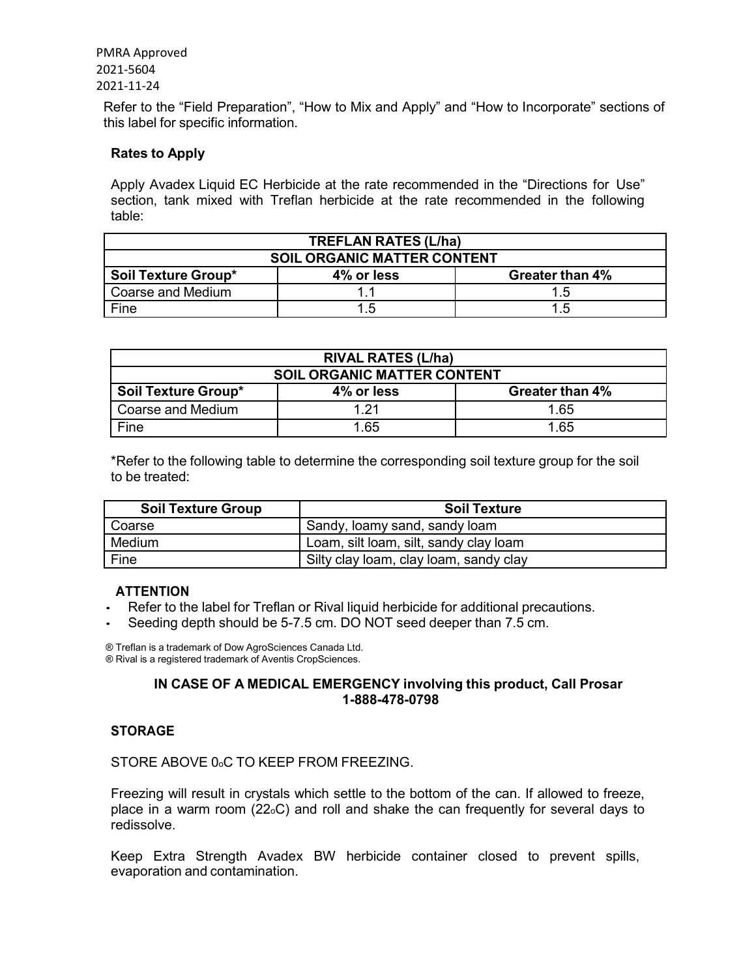Refer to the "Field Preparation", "How to Mix and Apply" and "How to Incorporate" sections of this label for specific information.

## **Rates to Apply**

Apply Avadex Liquid EC Herbicide at the rate recommended in the "Directions for Use" section, tank mixed with Treflan herbicide at the rate recommended in the following table:

| <b>TREFLAN RATES (L/ha)</b>        |            |                 |  |  |
|------------------------------------|------------|-----------------|--|--|
| <b>SOIL ORGANIC MATTER CONTENT</b> |            |                 |  |  |
| Soil Texture Group*                | 4% or less | Greater than 4% |  |  |
| Coarse and Medium                  |            | 1.5             |  |  |
| Fine                               | 1.5        | 1.5             |  |  |

| <b>RIVAL RATES (L/ha)</b>          |            |                 |  |  |
|------------------------------------|------------|-----------------|--|--|
| <b>SOIL ORGANIC MATTER CONTENT</b> |            |                 |  |  |
| <b>Soil Texture Group*</b>         | 4% or less | Greater than 4% |  |  |
| Coarse and Medium                  | 1 21       | 1.65            |  |  |
| Fine                               | 1.65       | 1.65            |  |  |

\*Refer to the following table to determine the corresponding soil texture group for the soil to be treated:

| <b>Soil Texture Group</b> | <b>Soil Texture</b>                    |
|---------------------------|----------------------------------------|
| Coarse                    | Sandy, loamy sand, sandy loam          |
| Medium                    | Loam, silt loam, silt, sandy clay loam |
| Fine                      | Silty clay loam, clay loam, sandy clay |

#### **ATTENTION**

- Refer to the label for Treflan or Rival liquid herbicide for additional precautions.
- Seeding depth should be 5-7.5 cm. DO NOT seed deeper than 7.5 cm.

® Treflan is a trademark of Dow AgroSciences Canada Ltd. ® Rival is a registered trademark of Aventis CropSciences.

## **IN CASE OF A MEDICAL EMERGENCY involving this product, Call Prosar 1-888-478-0798**

## **STORAGE**

STORE ABOVE 0.C TO KEEP FROM FREEZING.

Freezing will result in crystals which settle to the bottom of the can. If allowed to freeze, place in a warm room  $(22<sub>o</sub>C)$  and roll and shake the can frequently for several days to redissolve.

Keep Extra Strength Avadex BW herbicide container closed to prevent spills, evaporation and contamination.